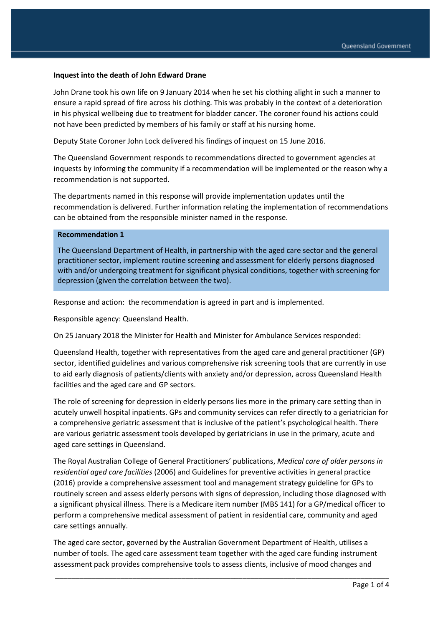#### **Inquest into the death of John Edward Drane**

John Drane took his own life on 9 January 2014 when he set his clothing alight in such a manner to ensure a rapid spread of fire across his clothing. This was probably in the context of a deterioration in his physical wellbeing due to treatment for bladder cancer. The coroner found his actions could not have been predicted by members of his family or staff at his nursing home.

Deputy State Coroner John Lock delivered his findings of inquest on 15 June 2016.

The Queensland Government responds to recommendations directed to government agencies at inquests by informing the community if a recommendation will be implemented or the reason why a recommendation is not supported.

The departments named in this response will provide implementation updates until the recommendation is delivered. Further information relating the implementation of recommendations can be obtained from the responsible minister named in the response.

### **Recommendation 1**

The Queensland Department of Health, in partnership with the aged care sector and the general practitioner sector, implement routine screening and assessment for elderly persons diagnosed with and/or undergoing treatment for significant physical conditions, together with screening for depression (given the correlation between the two).

Response and action: the recommendation is agreed in part and is implemented.

Responsible agency: Queensland Health.

On 25 January 2018 the Minister for Health and Minister for Ambulance Services responded:

Queensland Health, together with representatives from the aged care and general practitioner (GP) sector, identified guidelines and various comprehensive risk screening tools that are currently in use to aid early diagnosis of patients/clients with anxiety and/or depression, across Queensland Health facilities and the aged care and GP sectors.

The role of screening for depression in elderly persons lies more in the primary care setting than in acutely unwell hospital inpatients. GPs and community services can refer directly to a geriatrician for a comprehensive geriatric assessment that is inclusive of the patient's psychological health. There are various geriatric assessment tools developed by geriatricians in use in the primary, acute and aged care settings in Queensland.

The Royal Australian College of General Practitioners' publications, *Medical care of older persons in residential aged care facilities* (2006) and Guidelines for preventive activities in general practice (2016) provide a comprehensive assessment tool and management strategy guideline for GPs to routinely screen and assess elderly persons with signs of depression, including those diagnosed with a significant physical illness. There is a Medicare item number (MBS 141) for a GP/medical officer to perform a comprehensive medical assessment of patient in residential care, community and aged care settings annually.

The aged care sector, governed by the Australian Government Department of Health, utilises a number of tools. The aged care assessment team together with the aged care funding instrument assessment pack provides comprehensive tools to assess clients, inclusive of mood changes and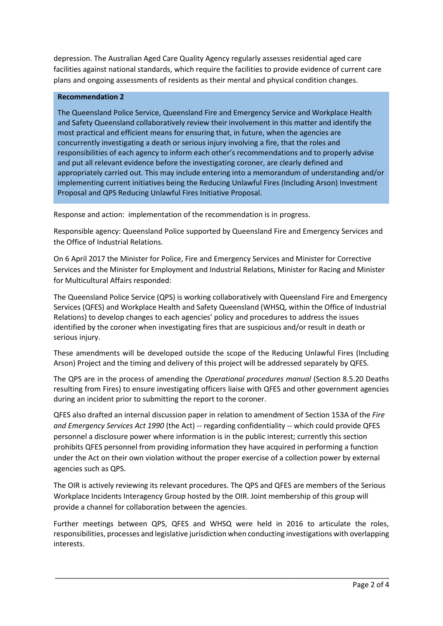depression. The Australian Aged Care Quality Agency regularly assesses residential aged care facilities against national standards, which require the facilities to provide evidence of current care plans and ongoing assessments of residents as their mental and physical condition changes.

### **Recommendation 2**

The Queensland Police Service, Queensland Fire and Emergency Service and Workplace Health and Safety Queensland collaboratively review their involvement in this matter and identify the most practical and efficient means for ensuring that, in future, when the agencies are concurrently investigating a death or serious injury involving a fire, that the roles and responsibilities of each agency to inform each other's recommendations and to properly advise and put all relevant evidence before the investigating coroner, are clearly defined and appropriately carried out. This may include entering into a memorandum of understanding and/or implementing current initiatives being the Reducing Unlawful Fires (Including Arson) Investment Proposal and QPS Reducing Unlawful Fires Initiative Proposal.

Response and action: implementation of the recommendation is in progress.

Responsible agency: Queensland Police supported by Queensland Fire and Emergency Services and the Office of Industrial Relations.

On 6 April 2017 the Minister for Police, Fire and Emergency Services and Minister for Corrective Services and the Minister for Employment and Industrial Relations, Minister for Racing and Minister for Multicultural Affairs responded:

The Queensland Police Service (QPS) is working collaboratively with Queensland Fire and Emergency Services (QFES) and Workplace Health and Safety Queensland (WHSQ, within the Office of Industrial Relations) to develop changes to each agencies' policy and procedures to address the issues identified by the coroner when investigating fires that are suspicious and/or result in death or serious injury.

These amendments will be developed outside the scope of the Reducing Unlawful Fires (Including Arson) Project and the timing and delivery of this project will be addressed separately by QFES.

The QPS are in the process of amending the *Operational procedures manual* (Section 8.5.20 Deaths resulting from Fires) to ensure investigating officers liaise with QFES and other government agencies during an incident prior to submitting the report to the coroner.

QFES also drafted an internal discussion paper in relation to amendment of Section 153A of the *Fire and Emergency Services Act 1990* (the Act) -- regarding confidentiality -- which could provide QFES personnel a disclosure power where information is in the public interest; currently this section prohibits QFES personnel from providing information they have acquired in performing a function under the Act on their own violation without the proper exercise of a collection power by external agencies such as QPS.

The OIR is actively reviewing its relevant procedures. The QPS and QFES are members of the Serious Workplace Incidents Interagency Group hosted by the OIR. Joint membership of this group will provide a channel for collaboration between the agencies.

Further meetings between QPS, QFES and WHSQ were held in 2016 to articulate the roles, responsibilities, processes and legislative jurisdiction when conducting investigations with overlapping interests.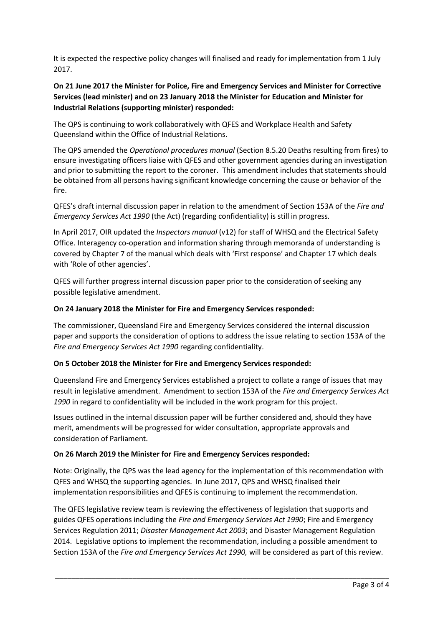It is expected the respective policy changes will finalised and ready for implementation from 1 July 2017.

# **On 21 June 2017 the Minister for Police, Fire and Emergency Services and Minister for Corrective Services (lead minister) and on 23 January 2018 the Minister for Education and Minister for Industrial Relations (supporting minister) responded:**

The QPS is continuing to work collaboratively with QFES and Workplace Health and Safety Queensland within the Office of Industrial Relations.

The QPS amended the *Operational procedures manual* (Section 8.5.20 Deaths resulting from fires) to ensure investigating officers liaise with QFES and other government agencies during an investigation and prior to submitting the report to the coroner. This amendment includes that statements should be obtained from all persons having significant knowledge concerning the cause or behavior of the fire.

QFES's draft internal discussion paper in relation to the amendment of Section 153A of the *Fire and Emergency Services Act 1990* (the Act) (regarding confidentiality) is still in progress.

In April 2017, OIR updated the *Inspectors manual* (v12) for staff of WHSQ and the Electrical Safety Office. Interagency co-operation and information sharing through memoranda of understanding is covered by Chapter 7 of the manual which deals with 'First response' and Chapter 17 which deals with 'Role of other agencies'.

QFES will further progress internal discussion paper prior to the consideration of seeking any possible legislative amendment.

## **On 24 January 2018 the Minister for Fire and Emergency Services responded:**

The commissioner, Queensland Fire and Emergency Services considered the internal discussion paper and supports the consideration of options to address the issue relating to section 153A of the *Fire and Emergency Services Act 1990* regarding confidentiality.

### **On 5 October 2018 the Minister for Fire and Emergency Services responded:**

Queensland Fire and Emergency Services established a project to collate a range of issues that may result in legislative amendment. Amendment to section 153A of the *Fire and Emergency Services Act 1990* in regard to confidentiality will be included in the work program for this project.

Issues outlined in the internal discussion paper will be further considered and, should they have merit, amendments will be progressed for wider consultation, appropriate approvals and consideration of Parliament.

### **On 26 March 2019 the Minister for Fire and Emergency Services responded:**

Note: Originally, the QPS was the lead agency for the implementation of this recommendation with QFES and WHSQ the supporting agencies. In June 2017, QPS and WHSQ finalised their implementation responsibilities and QFES is continuing to implement the recommendation.

The QFES legislative review team is reviewing the effectiveness of legislation that supports and guides QFES operations including the *Fire and Emergency Services Act 1990*; Fire and Emergency Services Regulation 2011; *Disaster Management Act 2003*; and Disaster Management Regulation 2014*.* Legislative options to implement the recommendation, including a possible amendment to Section 153A of the *Fire and Emergency Services Act 1990,* will be considered as part of this review.